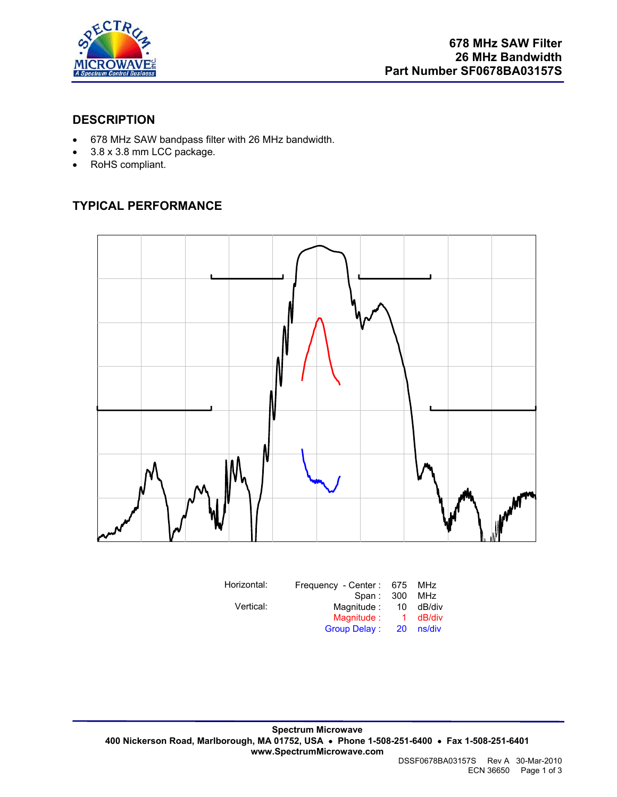

#### **DESCRIPTION**

- 678 MHz SAW bandpass filter with 26 MHz bandwidth.
- 3.8 x 3.8 mm LCC package.
- RoHS compliant.

## **TYPICAL PERFORMANCE**



| Horizontal: | Frequency - Center: 675 |              | MHz    |
|-------------|-------------------------|--------------|--------|
|             | Span: 300               |              | MHz    |
| Vertical:   | Magnitude :             | 10           | dB/div |
|             | Magnitude:              | $\mathbf{1}$ | dB/div |
|             | <b>Group Delay:</b>     | <b>20</b>    | ns/div |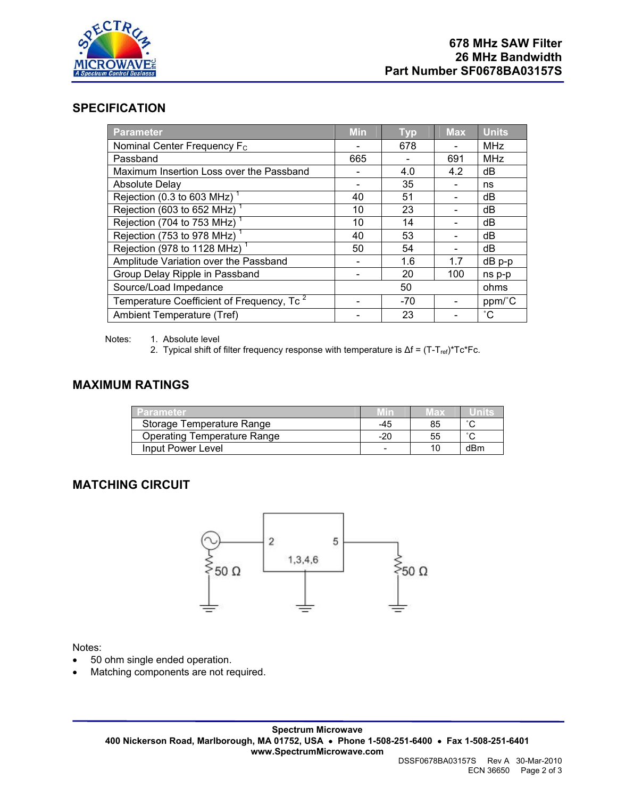

#### **SPECIFICATION**

| Parameter                                             | <b>Min</b> | <b>Typ</b> | <b>Max</b> | <b>Units</b>    |
|-------------------------------------------------------|------------|------------|------------|-----------------|
| Nominal Center Frequency F <sub>c</sub>               |            | 678        |            | <b>MHz</b>      |
| Passband                                              | 665        |            | 691        | <b>MHz</b>      |
| Maximum Insertion Loss over the Passband              |            | 4.0        | 4.2        | dB              |
| Absolute Delay                                        |            | 35         |            | ns              |
| Rejection (0.3 to 603 MHz)                            | 40         | 51         |            | dB              |
| Rejection (603 to 652 MHz) <sup>1</sup>               | 10         | 23         |            | dB              |
| Rejection (704 to 753 MHz) <sup>1</sup>               | 10         | 14         |            | dB              |
| Rejection (753 to 978 MHz)                            | 40         | 53         |            | dB              |
| Rejection (978 to 1128 MHz) <sup>1</sup>              | 50         | 54         |            | dB              |
| Amplitude Variation over the Passband                 |            | 1.6        | 1.7        | $dB$ $p-p$      |
| Group Delay Ripple in Passband                        |            | 20         | 100        | ns p-p          |
| Source/Load Impedance                                 |            | 50         |            | ohms            |
| Temperature Coefficient of Frequency, Tc <sup>2</sup> |            | $-70$      |            | ppm/°C          |
| Ambient Temperature (Tref)                            |            | 23         |            | $\rm ^{\circ}C$ |

Notes: 1. Absolute level

2. Typical shift of filter frequency response with temperature is  $\Delta f = (T - T_{ref})^*Tc^*Fc$ .

#### **MAXIMUM RATINGS**

| Parameter                   |     | wax | units               |
|-----------------------------|-----|-----|---------------------|
| Storage Temperature Range   | -45 | 85  | $\sim$              |
| Operating Temperature Range | -20 | 55  | $\hat{\phantom{a}}$ |
| Input Power Level           |     |     | dBm                 |

#### **MATCHING CIRCUIT**



#### Notes:

- 50 ohm single ended operation.
- Matching components are not required.